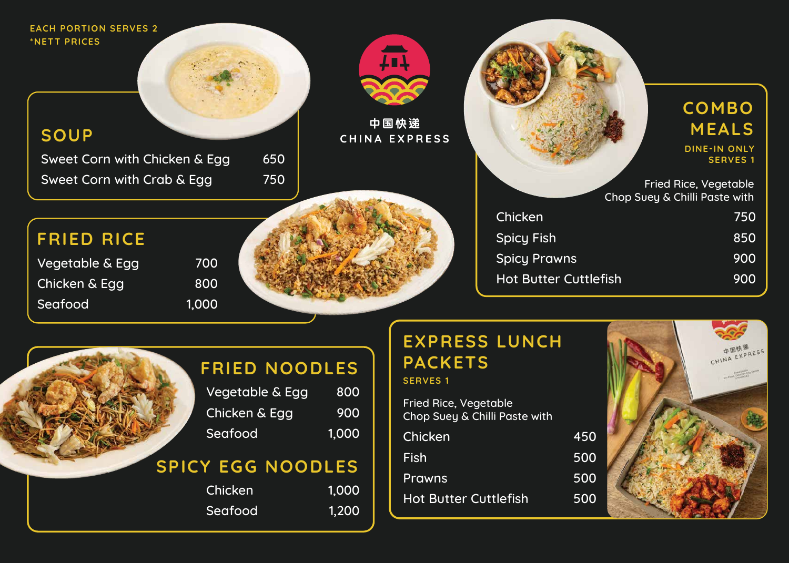# **EXPRESS LUNCH PACKETS**

| Chicken                      | 1450 |
|------------------------------|------|
| Fish                         | 500  |
| <b>Prawns</b>                | 500  |
| <b>Hot Butter Cuttlefish</b> | 500  |

#### **SERVES 1**

### **SOUP**

Sweet Corn with Chicken & Egg 650 Sweet Corn with Crab & Egg 750



### 中国快递 CHINA EXPRESS

Vegetable & Egg 700 Chicken & Egg 800 Seafood 1,000



Chicken **Spicy Fish Spicy Prawns** Hot Butter Cuttl

# **FRIED RICE**

# **FRIED NOODLES**

| Vegetable & Egg | 800   |
|-----------------|-------|
| Chicken & Egg   | 900   |
| Seafood         | 1.000 |

## **SPICY EGG NOODLES**

| Chicken | 1.000 |
|---------|-------|
| Seafood | 1.200 |

#### **EACH PORTION SERVES 2 \*NETT PRICES**

Fried Rice, Vegetable Chop Suey & Chilli Paste with

|               | COMBO<br>MEALS<br><b>DINE-IN ONLY</b>                                            |
|---------------|----------------------------------------------------------------------------------|
|               | <b>SERVES 1</b><br><b>Fried Rice, Vegetable</b><br>Chop Suey & Chilli Paste with |
|               | 750                                                                              |
|               | 850                                                                              |
|               | 900                                                                              |
| <u>lefish</u> | <b>900</b>                                                                       |